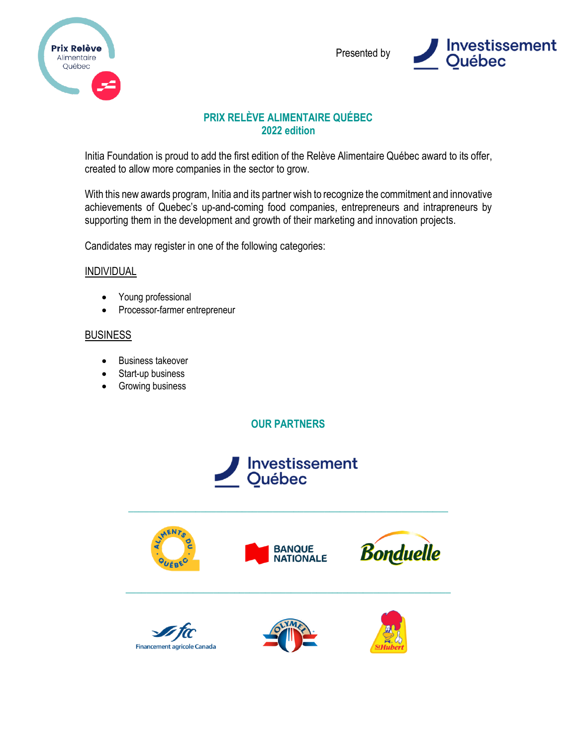



# **PRIX RELÈVE ALIMENTAIRE QUÉBEC 2022 edition**

Initia Foundation is proud to add the first edition of the Relève Alimentaire Québec award to its offer, created to allow more companies in the sector to grow.

With this new awards program, Initia and its partner wish to recognize the commitment and innovative achievements of Quebec's up-and-coming food companies, entrepreneurs and intrapreneurs by supporting them in the development and growth of their marketing and innovation projects.

Candidates may register in one of the following categories:

### INDIVIDUAL

- Young professional
- Processor-farmer entrepreneur

### **BUSINESS**

- Business takeover
- Start-up business
- Growing business

**OUR PARTNERS**



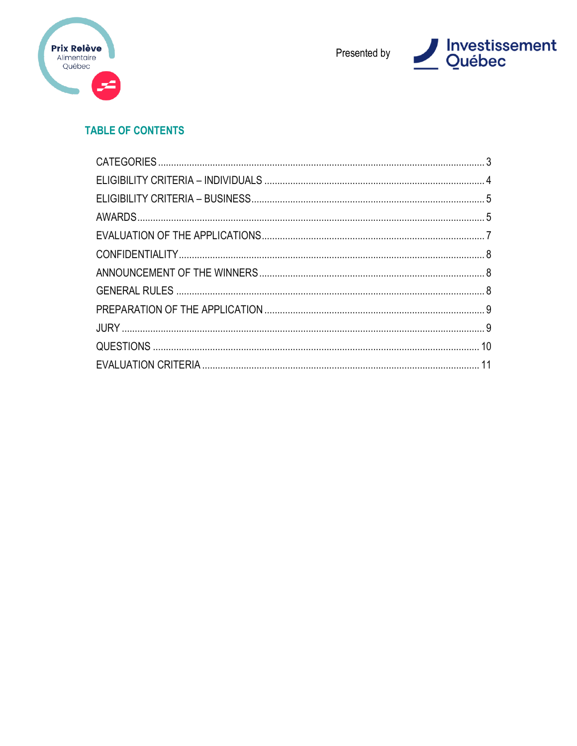



# **TABLE OF CONTENTS**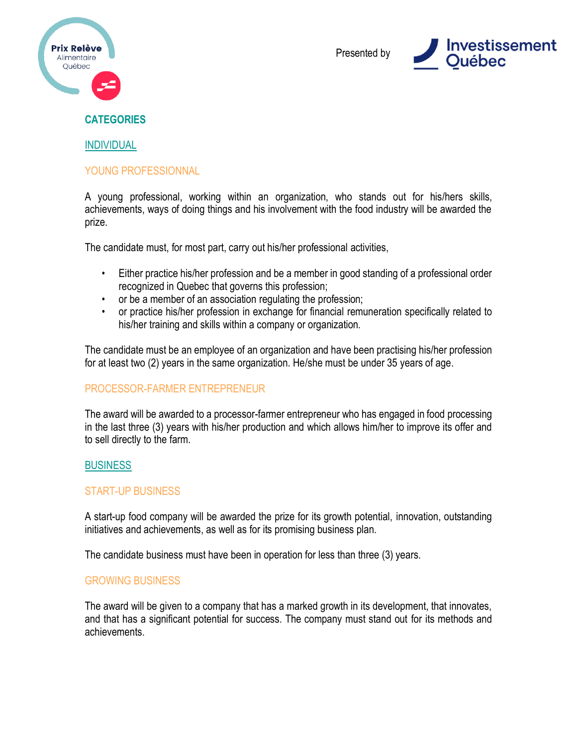



### <span id="page-2-0"></span>**CATEGORIES**

#### INDIVIDUAL

#### YOUNG PROFESSIONNAL

A young professional, working within an organization, who stands out for his/hers skills, achievements, ways of doing things and his involvement with the food industry will be awarded the prize.

The candidate must, for most part, carry out his/her professional activities,

- Either practice his/her profession and be a member in good standing of a professional order recognized in Quebec that governs this profession;
- or be a member of an association regulating the profession;
- or practice his/her profession in exchange for financial remuneration specifically related to his/her training and skills within a company or organization.

The candidate must be an employee of an organization and have been practising his/her profession for at least two (2) years in the same organization. He/she must be under 35 years of age.

### PROCESSOR-FARMER ENTREPRENEUR

The award will be awarded to a processor-farmer entrepreneur who has engaged in food processing in the last three (3) years with his/her production and which allows him/her to improve its offer and to sell directly to the farm.

#### **BUSINESS**

### START-UP BUSINESS

A start-up food company will be awarded the prize for its growth potential, innovation, outstanding initiatives and achievements, as well as for its promising business plan.

The candidate business must have been in operation for less than three (3) years.

#### GROWING BUSINESS

The award will be given to a company that has a marked growth in its development, that innovates, and that has a significant potential for success. The company must stand out for its methods and achievements.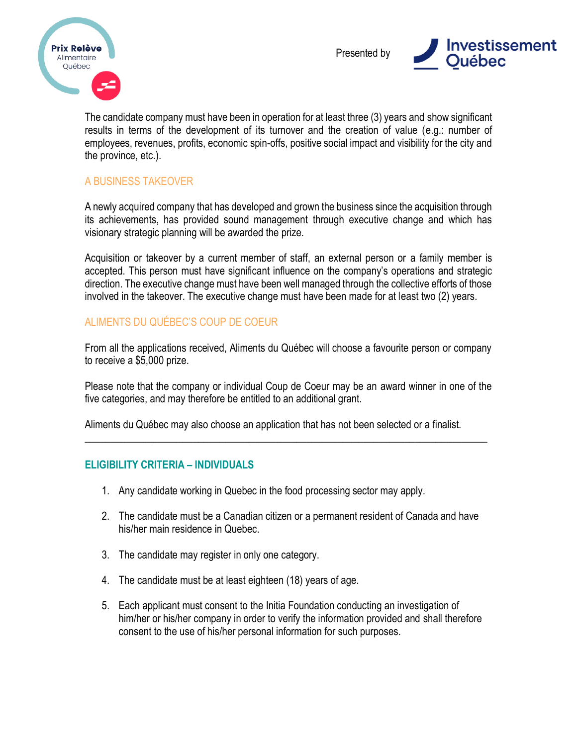



The candidate company must have been in operation for at least three (3) years and show significant results in terms of the development of its turnover and the creation of value (e.g.: number of employees, revenues, profits, economic spin-offs, positive social impact and visibility for the city and the province, etc.).

# A BUSINESS TAKEOVER

A newly acquired company that has developed and grown the business since the acquisition through its achievements, has provided sound management through executive change and which has visionary strategic planning will be awarded the prize.

Acquisition or takeover by a current member of staff, an external person or a family member is accepted. This person must have significant influence on the company's operations and strategic direction. The executive change must have been well managed through the collective efforts of those involved in the takeover. The executive change must have been made for at least two (2) years.

### ALIMENTS DU QUÉBEC'S COUP DE COEUR

From all the applications received, Aliments du Québec will choose a favourite person or company to receive a \$5,000 prize.

Please note that the company or individual Coup de Coeur may be an award winner in one of the five categories, and may therefore be entitled to an additional grant.

\_\_\_\_\_\_\_\_\_\_\_\_\_\_\_\_\_\_\_\_\_\_\_\_\_\_\_\_\_\_\_\_\_\_\_\_\_\_\_\_\_\_\_\_\_\_\_\_\_\_\_\_\_\_\_\_\_\_\_\_\_\_\_\_\_\_\_\_\_\_\_\_\_\_\_\_\_\_

Aliments du Québec may also choose an application that has not been selected or a finalist.

### <span id="page-3-0"></span>**ELIGIBILITY CRITERIA – INDIVIDUALS**

- 1. Any candidate working in Quebec in the food processing sector may apply.
- 2. The candidate must be a Canadian citizen or a permanent resident of Canada and have his/her main residence in Quebec.
- 3. The candidate may register in only one category.
- 4. The candidate must be at least eighteen (18) years of age.
- 5. Each applicant must consent to the Initia Foundation conducting an investigation of him/her or his/her company in order to verify the information provided and shall therefore consent to the use of his/her personal information for such purposes.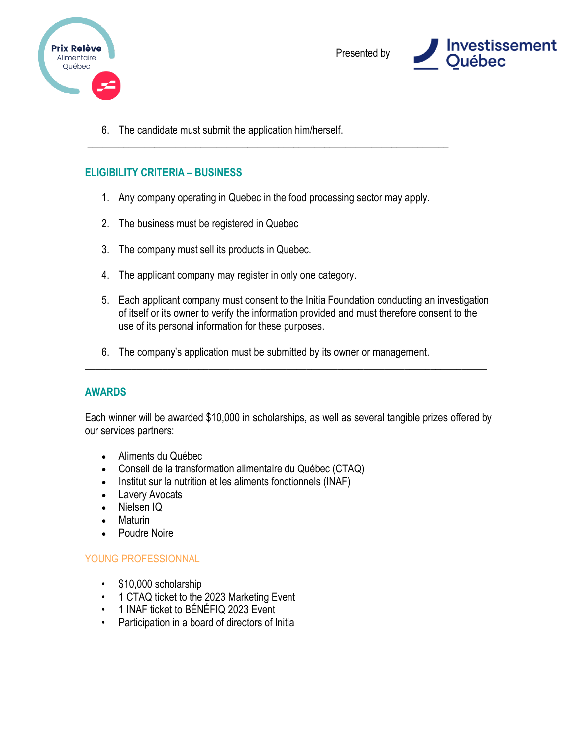

<span id="page-4-0"></span>

6. The candidate must submit the application him/herself.

### **ELIGIBILITY CRITERIA – BUSINESS**

1. Any company operating in Quebec in the food processing sector may apply.

\_\_\_\_\_\_\_\_\_\_\_\_\_\_\_\_\_\_\_\_\_\_\_\_\_\_\_\_\_\_\_\_\_\_\_\_\_\_\_\_\_\_\_\_\_\_\_\_\_\_\_\_\_\_\_\_\_\_\_\_\_\_\_\_\_\_\_\_\_\_

- 2. The business must be registered in Quebec
- 3. The company must sell its products in Quebec.
- 4. The applicant company may register in only one category.
- 5. Each applicant company must consent to the Initia Foundation conducting an investigation of itself or its owner to verify the information provided and must therefore consent to the use of its personal information for these purposes.
- 6. The company's application must be submitted by its owner or management.

### <span id="page-4-1"></span>**AWARDS**

Each winner will be awarded \$10,000 in scholarships, as well as several tangible prizes offered by our services partners:

\_\_\_\_\_\_\_\_\_\_\_\_\_\_\_\_\_\_\_\_\_\_\_\_\_\_\_\_\_\_\_\_\_\_\_\_\_\_\_\_\_\_\_\_\_\_\_\_\_\_\_\_\_\_\_\_\_\_\_\_\_\_\_\_\_\_\_\_\_\_\_\_\_\_\_\_\_\_

- Aliments du Québec
- Conseil de la transformation alimentaire du Québec (CTAQ)
- Institut sur la nutrition et les aliments fonctionnels (INAF)
- Lavery Avocats
- Nielsen IQ
- Maturin
- Poudre Noire

### YOUNG PROFESSIONNAL

- \$10,000 scholarship
- 1 CTAQ ticket to the 2023 Marketing Event
- 1 INAF ticket to BÉNÉFIQ 2023 Event
- Participation in a board of directors of Initia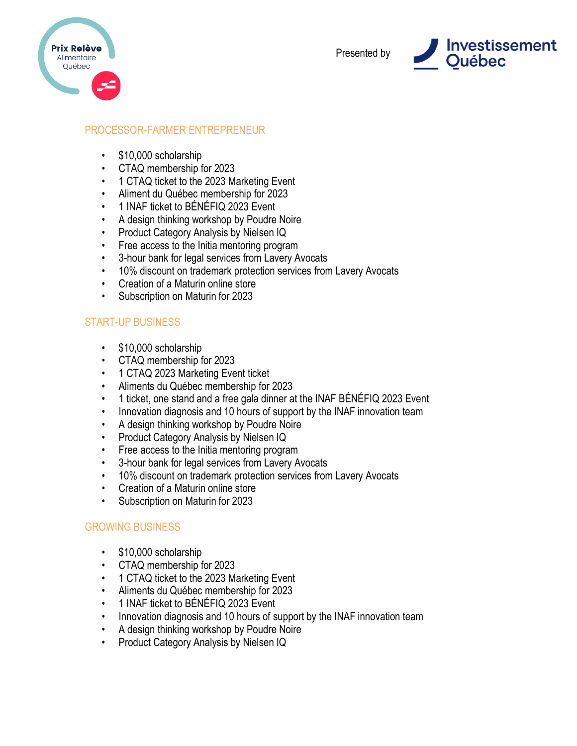



# PROCESSOR-FARMER ENTREPRENEUR

- \$10,000 scholarship
- CTAQ membership for 2023
- 1 CTAQ ticket to the 2023 Marketing Event
- Aliment du Québec membership for 2023
- 1 INAF ticket to BÉNÉFIQ 2023 Event
- A design thinking workshop by Poudre Noire
- Product Category Analysis by Nielsen IQ
- Free access to the Initia mentoring program
- 3-hour bank for legal services from Lavery Avocats
- 10% discount on trademark protection services from Lavery Avocats
- Creation of a Maturin online store
- Subscription on Maturin for 2023

### START-UP BUSINESS

- \$10,000 scholarship
- CTAQ membership for 2023
- 1 CTAQ 2023 Marketing Event ticket
- Aliments du Québec membership for 2023
- 1 ticket, one stand and a free gala dinner at the INAF BÉNÉFIQ 2023 Event
- Innovation diagnosis and 10 hours of support by the INAF innovation team
- A design thinking workshop by Poudre Noire
- Product Category Analysis by Nielsen IQ
- Free access to the Initia mentoring program
- 3-hour bank for legal services from Lavery Avocats
- 10% discount on trademark protection services from Lavery Avocats
- Creation of a Maturin online store
- Subscription on Maturin for 2023

# GROWING BUSINESS

- \$10,000 scholarship
- CTAQ membership for 2023
- 1 CTAQ ticket to the 2023 Marketing Event
- Aliments du Québec membership for 2023
- 1 INAF ticket to BÉNÉFIQ 2023 Event
- Innovation diagnosis and 10 hours of support by the INAF innovation team
- A design thinking workshop by Poudre Noire
- Product Category Analysis by Nielsen IQ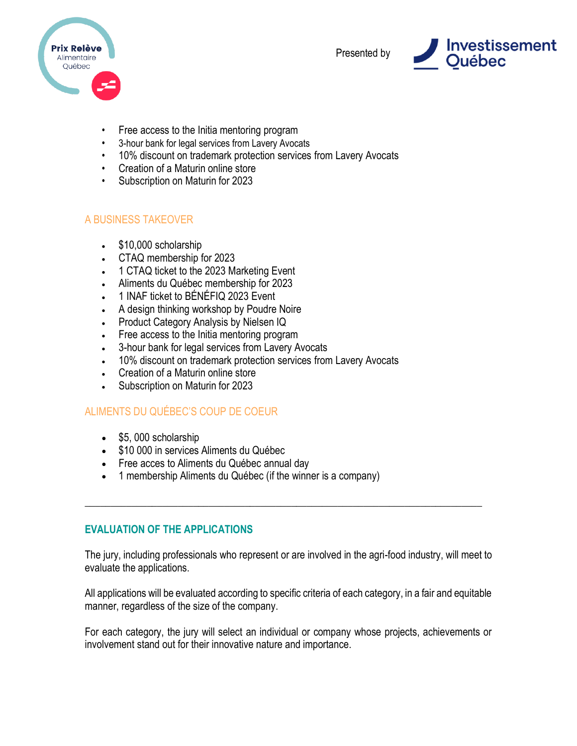



- Free access to the Initia mentoring program
- 3-hour bank for legal services from Lavery Avocats
- 10% discount on trademark protection services from Lavery Avocats
- Creation of a Maturin online store
- Subscription on Maturin for 2023

### A BUSINESS TAKEOVER

- \$10,000 scholarship
- CTAQ membership for 2023
- 1 CTAQ ticket to the 2023 Marketing Event
- Aliments du Québec membership for 2023
- 1 INAF ticket to BÉNÉFIQ 2023 Event
- A design thinking workshop by Poudre Noire
- Product Category Analysis by Nielsen IQ
- Free access to the Initia mentoring program
- 3-hour bank for legal services from Lavery Avocats
- 10% discount on trademark protection services from Lavery Avocats
- Creation of a Maturin online store
- Subscription on Maturin for 2023

# ALIMENTS DU QUÉBEC'S COUP DE COEUR

- \$5, 000 scholarship
- \$10 000 in services Aliments du Québec
- Free acces to Aliments du Québec annual day
- 1 membership Aliments du Québec (if the winner is a company)

# <span id="page-6-0"></span>**EVALUATION OF THE APPLICATIONS**

The jury, including professionals who represent or are involved in the agri-food industry, will meet to evaluate the applications.

\_\_\_\_\_\_\_\_\_\_\_\_\_\_\_\_\_\_\_\_\_\_\_\_\_\_\_\_\_\_\_\_\_\_\_\_\_\_\_\_\_\_\_\_\_\_\_\_\_\_\_\_\_\_\_\_\_\_\_\_\_\_\_\_\_\_\_\_\_\_\_\_\_\_\_\_\_

All applications will be evaluated according to specific criteria of each category, in a fair and equitable manner, regardless of the size of the company.

For each category, the jury will select an individual or company whose projects, achievements or involvement stand out for their innovative nature and importance.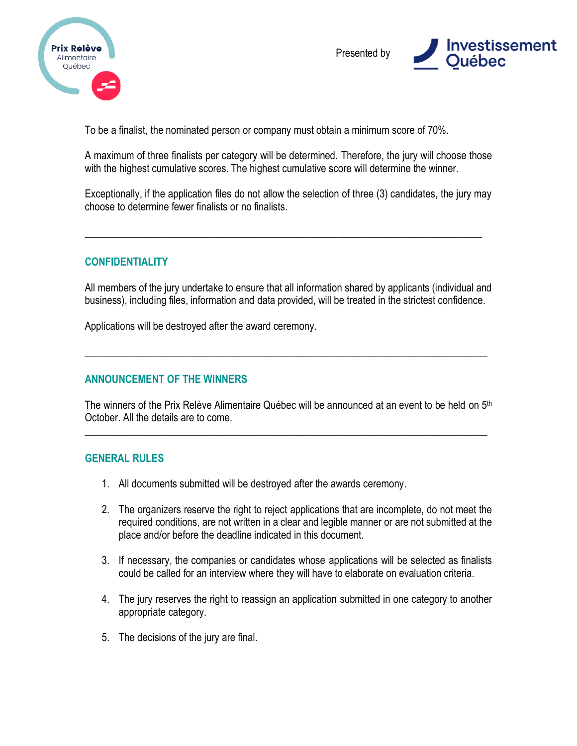



To be a finalist, the nominated person or company must obtain a minimum score of 70%.

A maximum of three finalists per category will be determined. Therefore, the jury will choose those with the highest cumulative scores. The highest cumulative score will determine the winner.

Exceptionally, if the application files do not allow the selection of three (3) candidates, the jury may choose to determine fewer finalists or no finalists.

<span id="page-7-0"></span>\_\_\_\_\_\_\_\_\_\_\_\_\_\_\_\_\_\_\_\_\_\_\_\_\_\_\_\_\_\_\_\_\_\_\_\_\_\_\_\_\_\_\_\_\_\_\_\_\_\_\_\_\_\_\_\_\_\_\_\_\_\_\_\_\_\_\_\_\_\_\_\_\_\_\_\_\_

### **CONFIDENTIALITY**

All members of the jury undertake to ensure that all information shared by applicants (individual and business), including files, information and data provided, will be treated in the strictest confidence.

\_\_\_\_\_\_\_\_\_\_\_\_\_\_\_\_\_\_\_\_\_\_\_\_\_\_\_\_\_\_\_\_\_\_\_\_\_\_\_\_\_\_\_\_\_\_\_\_\_\_\_\_\_\_\_\_\_\_\_\_\_\_\_\_\_\_\_\_\_\_\_\_\_\_\_\_\_\_

Applications will be destroyed after the award ceremony.

### <span id="page-7-1"></span>**ANNOUNCEMENT OF THE WINNERS**

The winners of the Prix Relève Alimentaire Québec will be announced at an event to be held on 5<sup>th</sup> October. All the details are to come.

\_\_\_\_\_\_\_\_\_\_\_\_\_\_\_\_\_\_\_\_\_\_\_\_\_\_\_\_\_\_\_\_\_\_\_\_\_\_\_\_\_\_\_\_\_\_\_\_\_\_\_\_\_\_\_\_\_\_\_\_\_\_\_\_\_\_\_\_\_\_\_\_\_\_\_\_\_\_

#### <span id="page-7-2"></span>**GENERAL RULES**

- 1. All documents submitted will be destroyed after the awards ceremony.
- 2. The organizers reserve the right to reject applications that are incomplete, do not meet the required conditions, are not written in a clear and legible manner or are not submitted at the place and/or before the deadline indicated in this document.
- 3. If necessary, the companies or candidates whose applications will be selected as finalists could be called for an interview where they will have to elaborate on evaluation criteria.
- 4. The jury reserves the right to reassign an application submitted in one category to another appropriate category.
- 5. The decisions of the jury are final.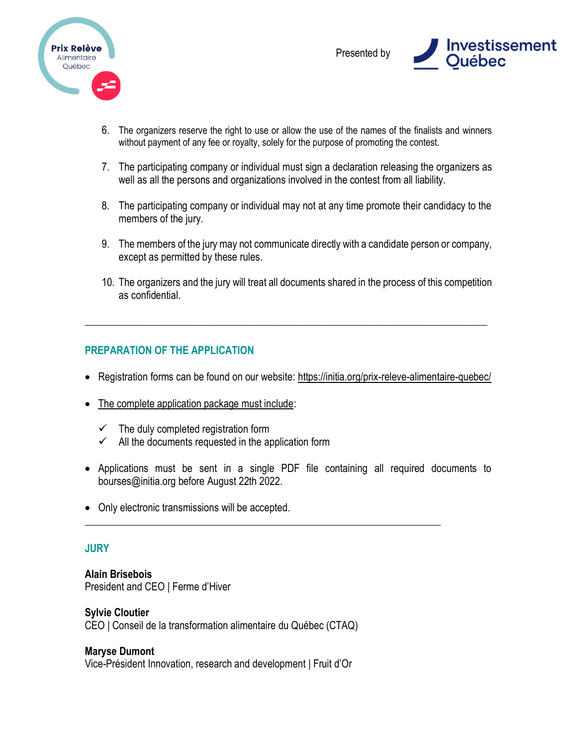



- 6. The organizers reserve the right to use or allow the use of the names of the finalists and winners without payment of any fee or royalty, solely for the purpose of promoting the contest.
- 7. The participating company or individual must sign a declaration releasing the organizers as well as all the persons and organizations involved in the contest from all liability.
- 8. The participating company or individual may not at any time promote their candidacy to the members of the jury.
- 9. The members of the jury may not communicate directly with a candidate person or company, except as permitted by these rules.
- 10. The organizers and the jury will treat all documents shared in the process of this competition as confidential.

# <span id="page-8-0"></span>**PREPARATION OF THE APPLICATION**

• Registration forms can be found on our website:<https://initia.org/prix-releve-alimentaire-quebec/>

\_\_\_\_\_\_\_\_\_\_\_\_\_\_\_\_\_\_\_\_\_\_\_\_\_\_\_\_\_\_\_\_\_\_\_\_\_\_\_\_\_\_\_\_\_\_\_\_\_\_\_\_\_\_\_\_\_\_\_\_\_\_\_\_\_\_\_\_\_\_\_\_\_\_\_\_\_\_

- The complete application package must include:
	- $\checkmark$  The duly completed registration form
	- $\checkmark$  All the documents requested in the application form
- Applications must be sent in a single PDF file containing all required documents to bourses@initia.org before August 22th 2022.

\_\_\_\_\_\_\_\_\_\_\_\_\_\_\_\_\_\_\_\_\_\_\_\_\_\_\_\_\_\_\_\_\_\_\_\_\_\_\_\_\_\_\_\_\_\_\_\_\_\_\_\_\_\_\_\_\_\_\_\_\_\_\_\_\_\_\_\_\_

• Only electronic transmissions will be accepted.

# <span id="page-8-1"></span>**JURY**

**Alain Brisebois** President and CEO | Ferme d'Hiver

### **Sylvie Cloutier**

CEO | Conseil de la transformation alimentaire du Québec (CTAQ)

# **Maryse Dumont**

Vice-Président Innovation, research and development | Fruit d'Or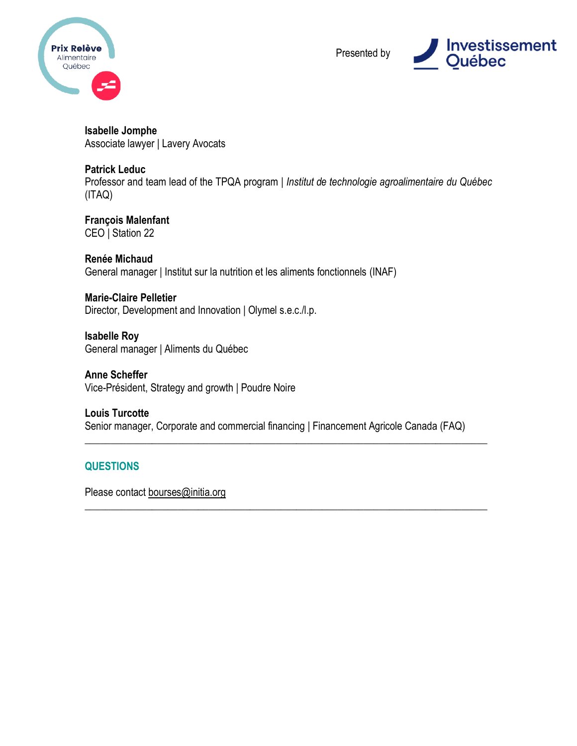



**Isabelle Jomphe** Associate lawyer | Lavery Avocats

#### **Patrick Leduc**

Professor and team lead of the TPQA program | *Institut de technologie agroalimentaire du Québec* (ITAQ)

**François Malenfant** CEO | Station 22

**Renée Michaud** General manager | Institut sur la nutrition et les aliments fonctionnels (INAF)

**Marie-Claire Pelletier** Director, Development and Innovation | Olymel s.e.c./l.p.

**Isabelle Roy** General manager | Aliments du Québec

**Anne Scheffer** Vice-Président, Strategy and growth | Poudre Noire

**Louis Turcotte** Senior manager, Corporate and commercial financing | Financement Agricole Canada (FAQ)

\_\_\_\_\_\_\_\_\_\_\_\_\_\_\_\_\_\_\_\_\_\_\_\_\_\_\_\_\_\_\_\_\_\_\_\_\_\_\_\_\_\_\_\_\_\_\_\_\_\_\_\_\_\_\_\_\_\_\_\_\_\_\_\_\_\_\_\_\_\_\_\_\_\_\_\_\_\_

<span id="page-9-1"></span>\_\_\_\_\_\_\_\_\_\_\_\_\_\_\_\_\_\_\_\_\_\_\_\_\_\_\_\_\_\_\_\_\_\_\_\_\_\_\_\_\_\_\_\_\_\_\_\_\_\_\_\_\_\_\_\_\_\_\_\_\_\_\_\_\_\_\_\_\_\_\_\_\_\_\_\_\_\_

# <span id="page-9-0"></span>**QUESTIONS**

Please contact [bourses@initia.org](mailto:bourses@initia.org)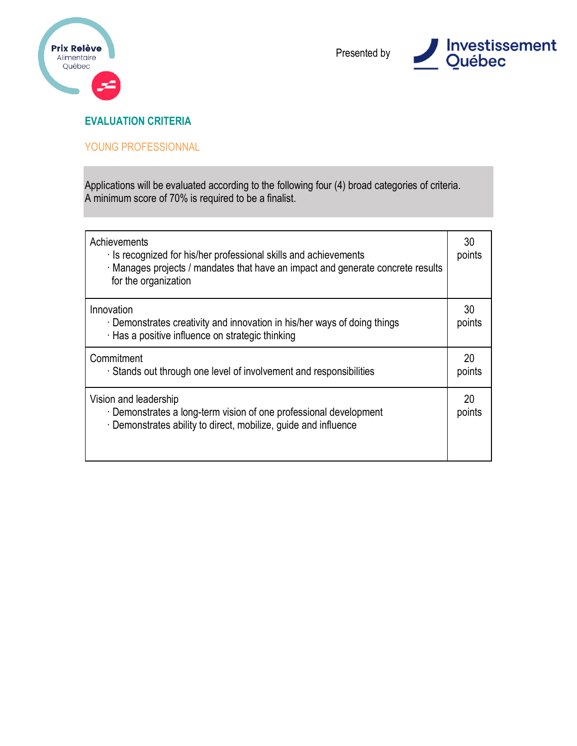



# **EVALUATION CRITERIA**

### YOUNG PROFESSIONNAL

| Achievements<br>Is recognized for his/her professional skills and achievements<br>Manages projects / mandates that have an impact and generate concrete results<br>for the organization | 30<br>points |
|-----------------------------------------------------------------------------------------------------------------------------------------------------------------------------------------|--------------|
| Innovation<br>Demonstrates creativity and innovation in his/her ways of doing things<br>· Has a positive influence on strategic thinking                                                | 30<br>points |
| Commitment<br>Stands out through one level of involvement and responsibilities                                                                                                          | 20<br>points |
| Vision and leadership<br>Demonstrates a long-term vision of one professional development<br>Demonstrates ability to direct, mobilize, guide and influence                               | 20<br>points |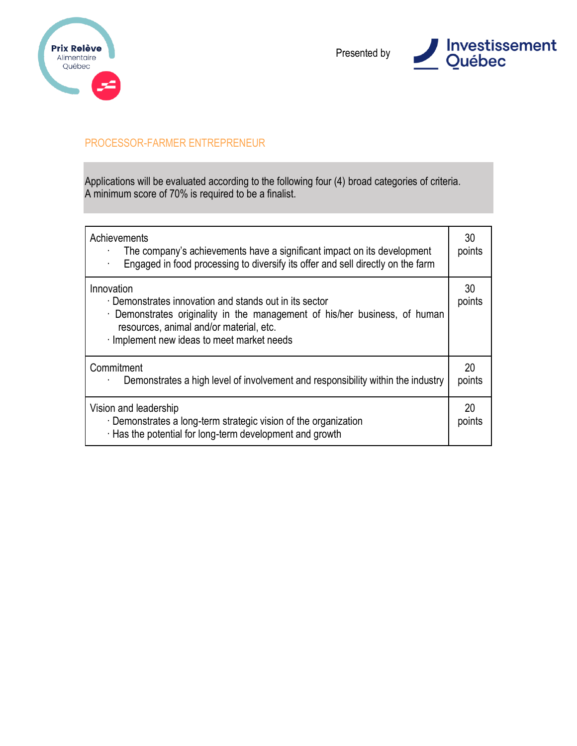



### PROCESSOR-FARMER ENTREPRENEUR

| Achievements<br>The company's achievements have a significant impact on its development<br>Engaged in food processing to diversify its offer and sell directly on the farm<br>$\bullet$                                               | 30<br>points |
|---------------------------------------------------------------------------------------------------------------------------------------------------------------------------------------------------------------------------------------|--------------|
| Innovation<br>Demonstrates innovation and stands out in its sector<br>Demonstrates originality in the management of his/her business, of human<br>resources, animal and/or material, etc.<br>Implement new ideas to meet market needs | 30<br>points |
| Commitment<br>Demonstrates a high level of involvement and responsibility within the industry                                                                                                                                         | 20<br>points |
| Vision and leadership<br>· Demonstrates a long-term strategic vision of the organization<br>Has the potential for long-term development and growth                                                                                    | 20<br>points |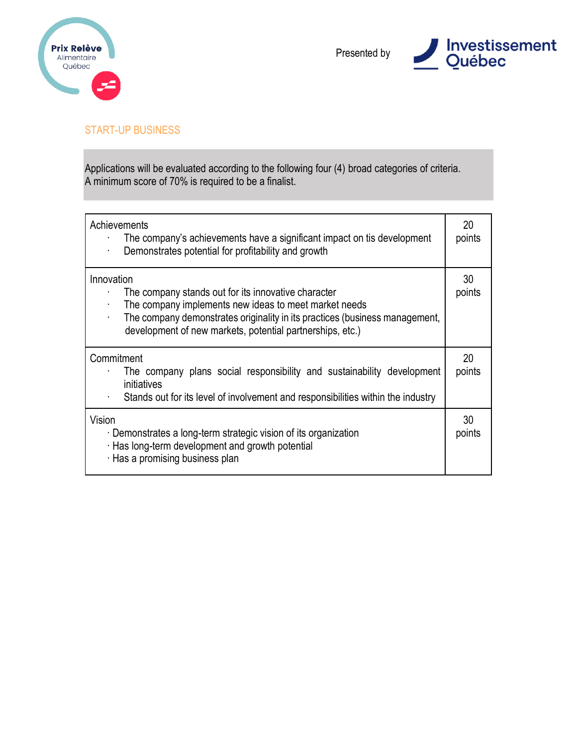



### START-UP BUSINESS

| Achievements<br>The company's achievements have a significant impact on tis development<br>Demonstrates potential for profitability and growth                                                                                                                         | 20<br>points |
|------------------------------------------------------------------------------------------------------------------------------------------------------------------------------------------------------------------------------------------------------------------------|--------------|
| Innovation<br>The company stands out for its innovative character<br>The company implements new ideas to meet market needs<br>The company demonstrates originality in its practices (business management,<br>development of new markets, potential partnerships, etc.) | 30<br>points |
| Commitment<br>The company plans social responsibility and sustainability development<br>initiatives<br>Stands out for its level of involvement and responsibilities within the industry<br>$\blacksquare$                                                              | 20<br>points |
| Vision<br>Demonstrates a long-term strategic vision of its organization<br>Has long-term development and growth potential<br>Has a promising business plan                                                                                                             | 30<br>points |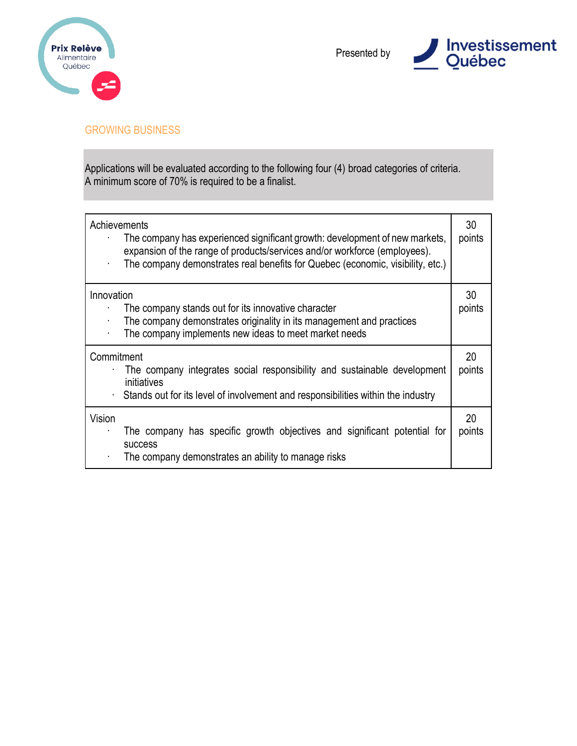



### GROWING BUSINESS

| $\blacksquare$  | Achievements<br>The company has experienced significant growth: development of new markets,<br>expansion of the range of products/services and/or workforce (employees).<br>The company demonstrates real benefits for Quebec (economic, visibility, etc.) | 30<br>points |
|-----------------|------------------------------------------------------------------------------------------------------------------------------------------------------------------------------------------------------------------------------------------------------------|--------------|
| Innovation      | The company stands out for its innovative character<br>The company demonstrates originality in its management and practices<br>The company implements new ideas to meet market needs                                                                       | 30<br>points |
| Commitment<br>۰ | The company integrates social responsibility and sustainable development<br>initiatives<br>Stands out for its level of involvement and responsibilities within the industry                                                                                | 20<br>points |
| Vision          | The company has specific growth objectives and significant potential for<br><b>SUCCESS</b><br>The company demonstrates an ability to manage risks                                                                                                          | 20<br>points |